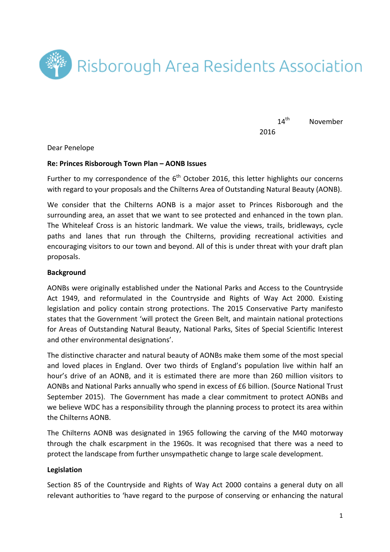

14<sup>th</sup> November 2016

Dear Penelope

### **Re: Princes Risborough Town Plan – AONB Issues**

Further to my correspondence of the  $6<sup>th</sup>$  October 2016, this letter highlights our concerns with regard to your proposals and the Chilterns Area of Outstanding Natural Beauty (AONB).

We consider that the Chilterns AONB is a major asset to Princes Risborough and the surrounding area, an asset that we want to see protected and enhanced in the town plan. The Whiteleaf Cross is an historic landmark. We value the views, trails, bridleways, cycle paths and lanes that run through the Chilterns, providing recreational activities and encouraging visitors to our town and beyond. All of this is under threat with your draft plan proposals.

#### **Background**

AONBs were originally established under the National Parks and Access to the Countryside Act 1949, and reformulated in the Countryside and Rights of Way Act 2000. Existing legislation and policy contain strong protections. The 2015 Conservative Party manifesto states that the Government 'will protect the Green Belt, and maintain national protections for Areas of Outstanding Natural Beauty, National Parks, Sites of Special Scientific Interest and other environmental designations'.

The distinctive character and natural beauty of AONBs make them some of the most special and loved places in England. Over two thirds of England's population live within half an hour's drive of an AONB, and it is estimated there are more than 260 million visitors to AONBs and National Parks annually who spend in excess of £6 billion. (Source National Trust September 2015). The Government has made a clear commitment to protect AONBs and we believe WDC has a responsibility through the planning process to protect its area within the Chilterns AONB.

The Chilterns AONB was designated in 1965 following the carving of the M40 motorway through the chalk escarpment in the 1960s. It was recognised that there was a need to protect the landscape from further unsympathetic change to large scale development.

### **Legislation**

Section 85 of the Countryside and Rights of Way Act 2000 contains a general duty on all relevant authorities to 'have regard to the purpose of conserving or enhancing the natural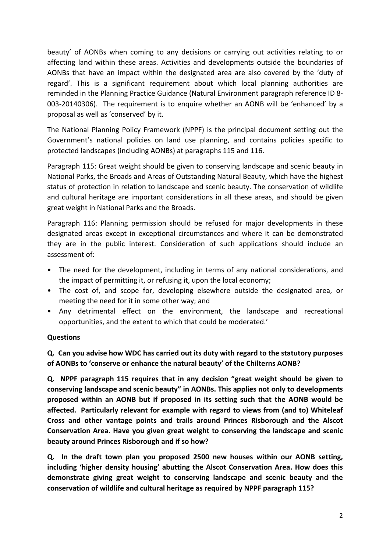beauty' of AONBs when coming to any decisions or carrying out activities relating to or affecting land within these areas. Activities and developments outside the boundaries of AONBs that have an impact within the designated area are also covered by the 'duty of regard'. This is a significant requirement about which local planning authorities are reminded in the Planning Practice Guidance (Natural Environment paragraph reference ID 8-003-20140306). The requirement is to enquire whether an AONB will be 'enhanced' by a proposal as well as 'conserved' by it.

The National Planning Policy Framework (NPPF) is the principal document setting out the Government's national policies on land use planning, and contains policies specific to protected landscapes (including AONBs) at paragraphs 115 and 116.

Paragraph 115: Great weight should be given to conserving landscape and scenic beauty in National Parks, the Broads and Areas of Outstanding Natural Beauty, which have the highest status of protection in relation to landscape and scenic beauty. The conservation of wildlife and cultural heritage are important considerations in all these areas, and should be given great weight in National Parks and the Broads.

Paragraph 116: Planning permission should be refused for major developments in these designated areas except in exceptional circumstances and where it can be demonstrated they are in the public interest. Consideration of such applications should include an assessment of:

- The need for the development, including in terms of any national considerations, and the impact of permitting it, or refusing it, upon the local economy;
- The cost of, and scope for, developing elsewhere outside the designated area, or meeting the need for it in some other way; and
- Any detrimental effect on the environment, the landscape and recreational opportunities, and the extent to which that could be moderated.'

# **Questions**

**Q.** Can you advise how WDC has carried out its duty with regard to the statutory purposes of AONBs to 'conserve or enhance the natural beauty' of the Chilterns AONB?

**Q.** NPPF paragraph 115 requires that in any decision "great weight should be given to conserving landscape and scenic beauty" in AONBs. This applies not only to developments proposed within an AONB but if proposed in its setting such that the AONB would be affected. Particularly relevant for example with regard to views from (and to) Whiteleaf Cross and other vantage points and trails around Princes Risborough and the Alscot Conservation Area. Have you given great weight to conserving the landscape and scenic **beauty around Princes Risborough and if so how?** 

**Q.** In the draft town plan you proposed 2500 new houses within our AONB setting, including 'higher density housing' abutting the Alscot Conservation Area. How does this demonstrate giving great weight to conserving landscape and scenic beauty and the conservation of wildlife and cultural heritage as required by NPPF paragraph 115?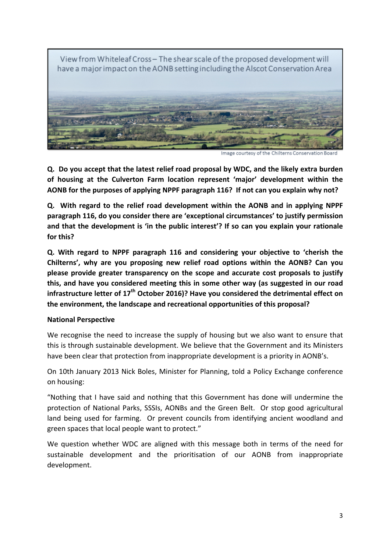

**Q.** Do you accept that the latest relief road proposal by WDC, and the likely extra burden of housing at the Culverton Farm location represent 'major' development within the AONB for the purposes of applying NPPF paragraph 116? If not can you explain why not?

**Q.** With regard to the relief road development within the AONB and in applying NPPF paragraph 116, do you consider there are 'exceptional circumstances' to justify permission and that the development is 'in the public interest'? If so can you explain your rationale **for this?**

**Q. With regard to NPPF paragraph 116 and considering your objective to 'cherish the Chilterns', why are you proposing new relief road options within the AONB? Can you please provide greater transparency on the scope and accurate cost proposals to justify** this, and have you considered meeting this in some other way (as suggested in our road infrastructure letter of 17<sup>th</sup> October 2016)? Have you considered the detrimental effect on the environment, the landscape and recreational opportunities of this proposal?

# **National Perspective**

We recognise the need to increase the supply of housing but we also want to ensure that this is through sustainable development. We believe that the Government and its Ministers have been clear that protection from inappropriate development is a priority in AONB's.

On 10th January 2013 Nick Boles, Minister for Planning, told a Policy Exchange conference on housing:

"Nothing that I have said and nothing that this Government has done will undermine the protection of National Parks, SSSIs, AONBs and the Green Belt. Or stop good agricultural land being used for farming. Or prevent councils from identifying ancient woodland and green spaces that local people want to protect."

We question whether WDC are aligned with this message both in terms of the need for sustainable development and the prioritisation of our AONB from inappropriate development.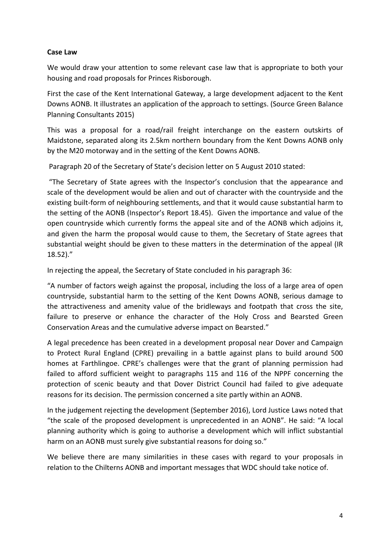### **Case Law**

We would draw your attention to some relevant case law that is appropriate to both your housing and road proposals for Princes Risborough.

First the case of the Kent International Gateway, a large development adjacent to the Kent Downs AONB. It illustrates an application of the approach to settings. (Source Green Balance Planning Consultants 2015)

This was a proposal for a road/rail freight interchange on the eastern outskirts of Maidstone, separated along its 2.5km northern boundary from the Kent Downs AONB only by the M20 motorway and in the setting of the Kent Downs AONB.

Paragraph 20 of the Secretary of State's decision letter on 5 August 2010 stated:

"The Secretary of State agrees with the Inspector's conclusion that the appearance and scale of the development would be alien and out of character with the countryside and the existing built-form of neighbouring settlements, and that it would cause substantial harm to the setting of the AONB (Inspector's Report 18.45). Given the importance and value of the open countryside which currently forms the appeal site and of the AONB which adjoins it, and given the harm the proposal would cause to them, the Secretary of State agrees that substantial weight should be given to these matters in the determination of the appeal (IR 18.52)." 

In rejecting the appeal, the Secretary of State concluded in his paragraph 36:

"A number of factors weigh against the proposal, including the loss of a large area of open countryside, substantial harm to the setting of the Kent Downs AONB, serious damage to the attractiveness and amenity value of the bridleways and footpath that cross the site, failure to preserve or enhance the character of the Holy Cross and Bearsted Green Conservation Areas and the cumulative adverse impact on Bearsted."

A legal precedence has been created in a development proposal near Dover and Campaign to Protect Rural England (CPRE) prevailing in a battle against plans to build around 500 homes at Farthlingoe. CPRE's challenges were that the grant of planning permission had failed to afford sufficient weight to paragraphs 115 and 116 of the NPPF concerning the protection of scenic beauty and that Dover District Council had failed to give adequate reasons for its decision. The permission concerned a site partly within an AONB.

In the judgement rejecting the development (September 2016), Lord Justice Laws noted that "the scale of the proposed development is unprecedented in an AONB". He said: "A local planning authority which is going to authorise a development which will inflict substantial harm on an AONB must surely give substantial reasons for doing so."

We believe there are many similarities in these cases with regard to your proposals in relation to the Chilterns AONB and important messages that WDC should take notice of.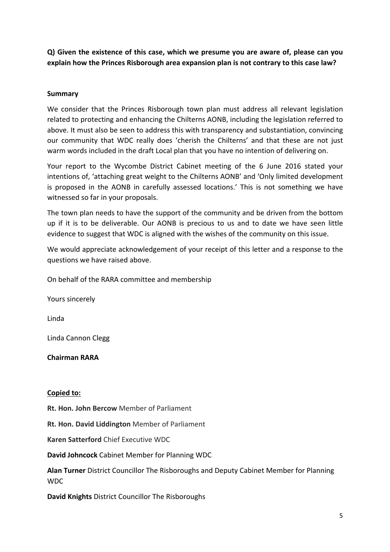**Q) Given the existence of this case, which we presume you are aware of, please can you**  explain how the Princes Risborough area expansion plan is not contrary to this case law?

### **Summary**

We consider that the Princes Risborough town plan must address all relevant legislation related to protecting and enhancing the Chilterns AONB, including the legislation referred to above. It must also be seen to address this with transparency and substantiation, convincing our community that WDC really does 'cherish the Chilterns' and that these are not just warm words included in the draft Local plan that you have no intention of delivering on.

Your report to the Wycombe District Cabinet meeting of the 6 June 2016 stated your intentions of, 'attaching great weight to the Chilterns AONB' and 'Only limited development is proposed in the AONB in carefully assessed locations.' This is not something we have witnessed so far in your proposals.

The town plan needs to have the support of the community and be driven from the bottom up if it is to be deliverable. Our AONB is precious to us and to date we have seen little evidence to suggest that WDC is aligned with the wishes of the community on this issue.

We would appreciate acknowledgement of your receipt of this letter and a response to the questions we have raised above.

On behalf of the RARA committee and membership

Yours sincerely

Linda

Linda Cannon Clegg

**Chairman RARA**

### **Copied to:**

**Rt. Hon. John Bercow** Member of Parliament

**Rt. Hon. David Liddington Member of Parliament** 

**Karen Satterford** Chief Executive WDC

**David Johncock** Cabinet Member for Planning WDC

**Alan Turner** District Councillor The Risboroughs and Deputy Cabinet Member for Planning **WDC** 

**David Knights District Councillor The Risboroughs**